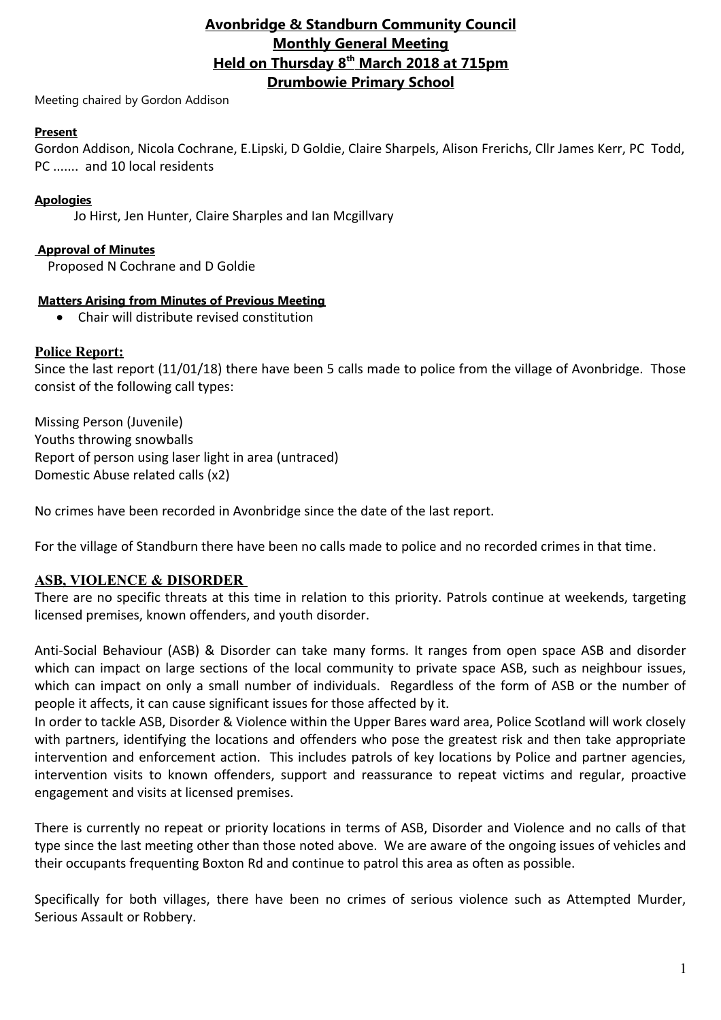## **Avonbridge & Standburn Community Council Monthly General Meeting Held on Thursday 8th March 2018 at 715pm Drumbowie Primary School**

Meeting chaired by Gordon Addison

### **Present**

Gordon Addison, Nicola Cochrane, E.Lipski, D Goldie, Claire Sharpels, Alison Frerichs, Cllr James Kerr, PC Todd, PC ....... and 10 local residents

## **Apologies**

Jo Hirst, Jen Hunter, Claire Sharples and Ian Mcgillvary

### **Approval of Minutes**

Proposed N Cochrane and D Goldie

#### **Matters Arising from Minutes of Previous Meeting**

Chair will distribute revised constitution

### **Police Report:**

Since the last report (11/01/18) there have been 5 calls made to police from the village of Avonbridge. Those consist of the following call types:

Missing Person (Juvenile) Youths throwing snowballs Report of person using laser light in area (untraced) Domestic Abuse related calls (x2)

No crimes have been recorded in Avonbridge since the date of the last report.

For the village of Standburn there have been no calls made to police and no recorded crimes in that time.

## **ASB, VIOLENCE & DISORDER**

There are no specific threats at this time in relation to this priority. Patrols continue at weekends, targeting licensed premises, known offenders, and youth disorder.

Anti-Social Behaviour (ASB) & Disorder can take many forms. It ranges from open space ASB and disorder which can impact on large sections of the local community to private space ASB, such as neighbour issues, which can impact on only a small number of individuals. Regardless of the form of ASB or the number of people it affects, it can cause significant issues for those affected by it.

In order to tackle ASB, Disorder & Violence within the Upper Bares ward area, Police Scotland will work closely with partners, identifying the locations and offenders who pose the greatest risk and then take appropriate intervention and enforcement action. This includes patrols of key locations by Police and partner agencies, intervention visits to known offenders, support and reassurance to repeat victims and regular, proactive engagement and visits at licensed premises.

There is currently no repeat or priority locations in terms of ASB, Disorder and Violence and no calls of that type since the last meeting other than those noted above. We are aware of the ongoing issues of vehicles and their occupants frequenting Boxton Rd and continue to patrol this area as often as possible.

Specifically for both villages, there have been no crimes of serious violence such as Attempted Murder, Serious Assault or Robbery.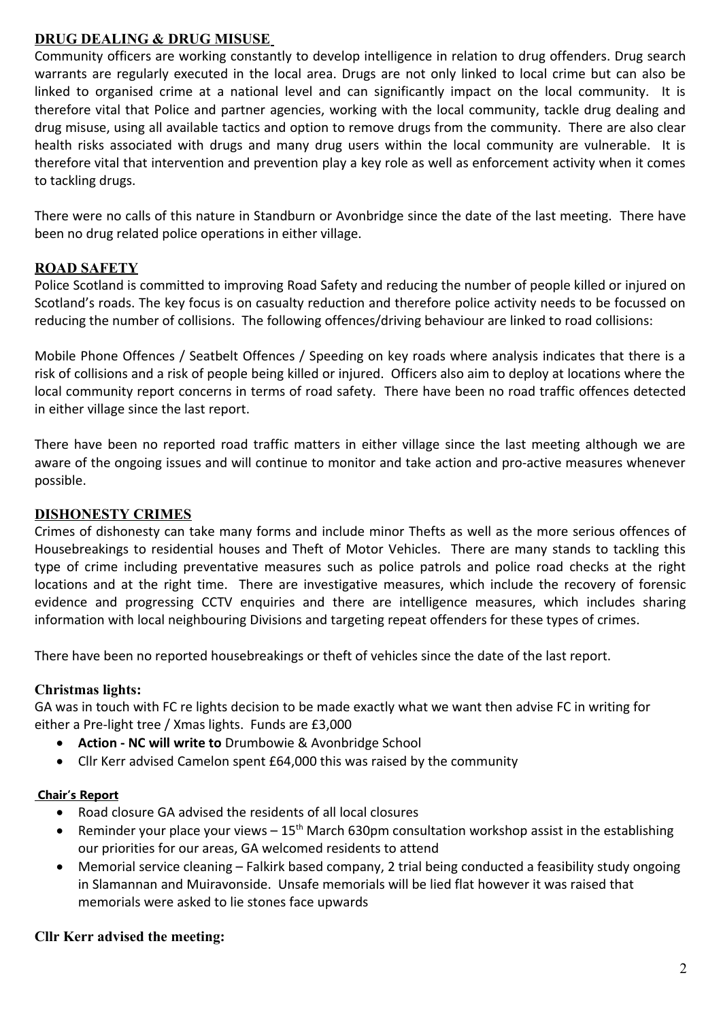## **DRUG DEALING & DRUG MISUSE**

Community officers are working constantly to develop intelligence in relation to drug offenders. Drug search warrants are regularly executed in the local area. Drugs are not only linked to local crime but can also be linked to organised crime at a national level and can significantly impact on the local community. It is therefore vital that Police and partner agencies, working with the local community, tackle drug dealing and drug misuse, using all available tactics and option to remove drugs from the community. There are also clear health risks associated with drugs and many drug users within the local community are vulnerable. It is therefore vital that intervention and prevention play a key role as well as enforcement activity when it comes to tackling drugs.

There were no calls of this nature in Standburn or Avonbridge since the date of the last meeting. There have been no drug related police operations in either village.

## **ROAD SAFETY**

Police Scotland is committed to improving Road Safety and reducing the number of people killed or injured on Scotland's roads. The key focus is on casualty reduction and therefore police activity needs to be focussed on reducing the number of collisions. The following offences/driving behaviour are linked to road collisions:

Mobile Phone Offences / Seatbelt Offences / Speeding on key roads where analysis indicates that there is a risk of collisions and a risk of people being killed or injured. Officers also aim to deploy at locations where the local community report concerns in terms of road safety. There have been no road traffic offences detected in either village since the last report.

There have been no reported road traffic matters in either village since the last meeting although we are aware of the ongoing issues and will continue to monitor and take action and pro-active measures whenever possible.

## **DISHONESTY CRIMES**

Crimes of dishonesty can take many forms and include minor Thefts as well as the more serious offences of Housebreakings to residential houses and Theft of Motor Vehicles. There are many stands to tackling this type of crime including preventative measures such as police patrols and police road checks at the right locations and at the right time. There are investigative measures, which include the recovery of forensic evidence and progressing CCTV enquiries and there are intelligence measures, which includes sharing information with local neighbouring Divisions and targeting repeat offenders for these types of crimes.

There have been no reported housebreakings or theft of vehicles since the date of the last report.

## **Christmas lights:**

GA was in touch with FC re lights decision to be made exactly what we want then advise FC in writing for either a Pre-light tree / Xmas lights. Funds are £3,000

- **Action NC will write to** Drumbowie & Avonbridge School
- Cllr Kerr advised Camelon spent £64,000 this was raised by the community

#### **Chair's Report**

- Road closure GA advised the residents of all local closures
- **•** Reminder your place your views  $-15<sup>th</sup>$  March 630pm consultation workshop assist in the establishing our priorities for our areas, GA welcomed residents to attend
- Memorial service cleaning Falkirk based company, 2 trial being conducted a feasibility study ongoing in Slamannan and Muiravonside. Unsafe memorials will be lied flat however it was raised that memorials were asked to lie stones face upwards

#### **Cllr Kerr advised the meeting:**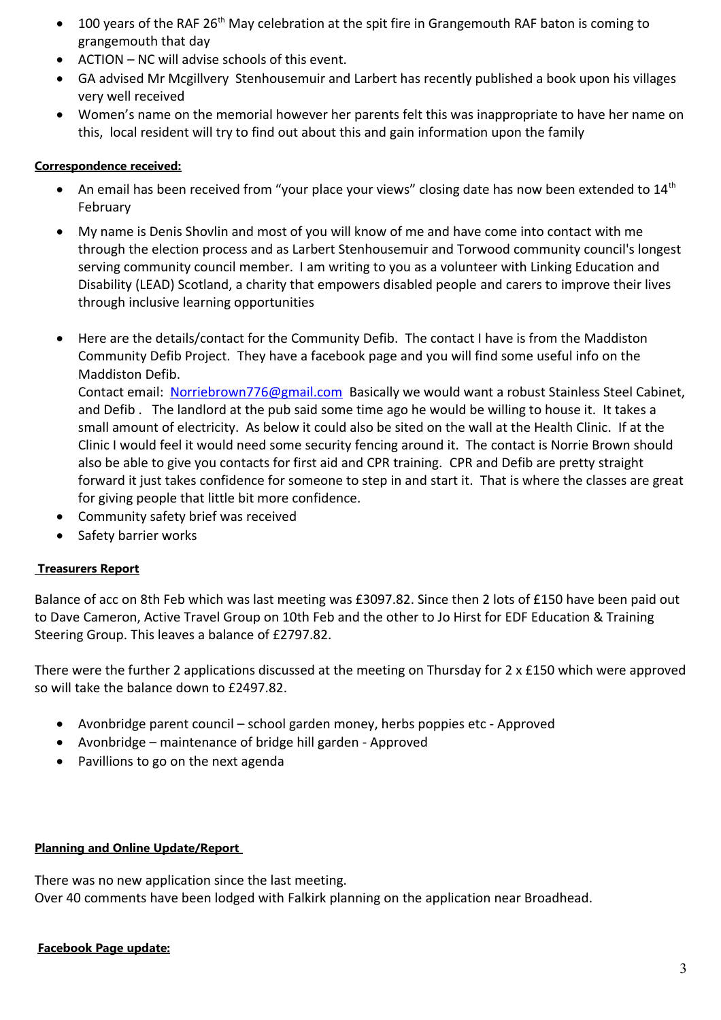- 100 years of the RAF 26<sup>th</sup> May celebration at the spit fire in Grangemouth RAF baton is coming to grangemouth that day
- ACTION NC will advise schools of this event.
- GA advised Mr Mcgillvery Stenhousemuir and Larbert has recently published a book upon his villages very well received
- Women's name on the memorial however her parents felt this was inappropriate to have her name on this, local resident will try to find out about this and gain information upon the family

### **Correspondence received:**

- An email has been received from "your place your views" closing date has now been extended to  $14<sup>th</sup>$ February
- My name is Denis Shovlin and most of you will know of me and have come into contact with me through the election process and as Larbert Stenhousemuir and Torwood community council's longest serving community council member. I am writing to you as a volunteer with Linking Education and Disability (LEAD) Scotland, a charity that empowers disabled people and carers to improve their lives through inclusive learning opportunities
- Here are the details/contact for the Community Defib. The contact I have is from the Maddiston Community Defib Project. They have a facebook page and you will find some useful info on the Maddiston Defib.

Contact email: [Norriebrown776@gmail.com](mailto:Norriebrown776@gmail.com) Basically we would want a robust Stainless Steel Cabinet, and Defib . The landlord at the pub said some time ago he would be willing to house it. It takes a small amount of electricity. As below it could also be sited on the wall at the Health Clinic. If at the Clinic I would feel it would need some security fencing around it. The contact is Norrie Brown should also be able to give you contacts for first aid and CPR training. CPR and Defib are pretty straight forward it just takes confidence for someone to step in and start it. That is where the classes are great for giving people that little bit more confidence.

- Community safety brief was received
- Safety barrier works

## **Treasurers Report**

Balance of acc on 8th Feb which was last meeting was £3097.82. Since then 2 lots of £150 have been paid out to Dave Cameron, Active Travel Group on 10th Feb and the other to Jo Hirst for EDF Education & Training Steering Group. This leaves a balance of £2797.82.

There were the further 2 applications discussed at the meeting on Thursday for 2 x £150 which were approved so will take the balance down to £2497.82.

- Avonbridge parent council school garden money, herbs poppies etc Approved
- Avonbridge maintenance of bridge hill garden Approved
- Pavillions to go on the next agenda

#### **Planning and Online Update/Report**

There was no new application since the last meeting. Over 40 comments have been lodged with Falkirk planning on the application near Broadhead.

#### **Facebook Page update:**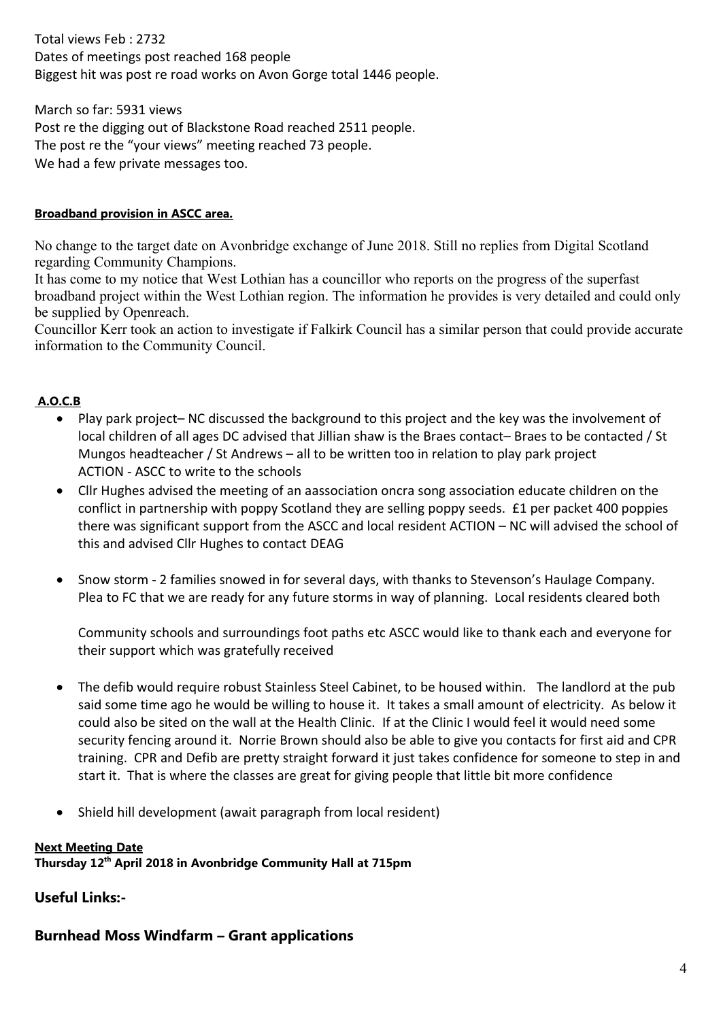Total views Feb : 2732 Dates of meetings post reached 168 people Biggest hit was post re road works on Avon Gorge total 1446 people.

March so far: 5931 views Post re the digging out of Blackstone Road reached 2511 people. The post re the "your views" meeting reached 73 people. We had a few private messages too.

## **Broadband provision in ASCC area.**

No change to the target date on Avonbridge exchange of June 2018. Still no replies from Digital Scotland regarding Community Champions.

It has come to my notice that West Lothian has a councillor who reports on the progress of the superfast broadband project within the West Lothian region. The information he provides is very detailed and could only be supplied by Openreach.

Councillor Kerr took an action to investigate if Falkirk Council has a similar person that could provide accurate information to the Community Council.

## **A.O.C.B**

- Play park project– NC discussed the background to this project and the key was the involvement of local children of all ages DC advised that Jillian shaw is the Braes contact– Braes to be contacted / St Mungos headteacher / St Andrews – all to be written too in relation to play park project ACTION - ASCC to write to the schools
- Cllr Hughes advised the meeting of an aassociation oncra song association educate children on the conflict in partnership with poppy Scotland they are selling poppy seeds. £1 per packet 400 poppies there was significant support from the ASCC and local resident ACTION – NC will advised the school of this and advised Cllr Hughes to contact DEAG
- Snow storm 2 families snowed in for several days, with thanks to Stevenson's Haulage Company. Plea to FC that we are ready for any future storms in way of planning. Local residents cleared both

Community schools and surroundings foot paths etc ASCC would like to thank each and everyone for their support which was gratefully received

- The defib would require robust Stainless Steel Cabinet, to be housed within. The landlord at the pub said some time ago he would be willing to house it. It takes a small amount of electricity. As below it could also be sited on the wall at the Health Clinic. If at the Clinic I would feel it would need some security fencing around it. Norrie Brown should also be able to give you contacts for first aid and CPR training. CPR and Defib are pretty straight forward it just takes confidence for someone to step in and start it. That is where the classes are great for giving people that little bit more confidence
- Shield hill development (await paragraph from local resident)

## **Next Meeting Date**

**Thursday 12th April 2018 in Avonbridge Community Hall at 715pm**

**Useful Links:-**

# **Burnhead Moss Windfarm – Grant applications**